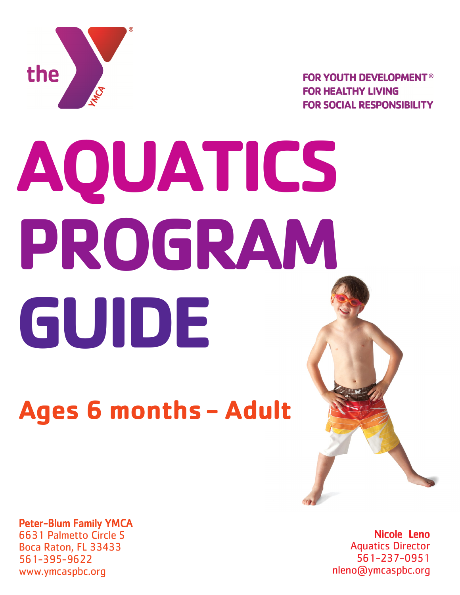

**FOR YOUTH DEVELOPMENT® FOR HEALTHY LIVING FOR SOCIAL RESPONSIBILITY** 

# **AQUATICS PROGRAM GUIDE**

## **Ages 6 months - Adult**

Peter-Blum Family YMCA 6631 Palmetto Circle S Boca Raton, FL 33433 561-395-9622

www.ymcaspbc.org

Nicole Leno Aquatics Director 561-237-0951 nleno@ymcaspbc.org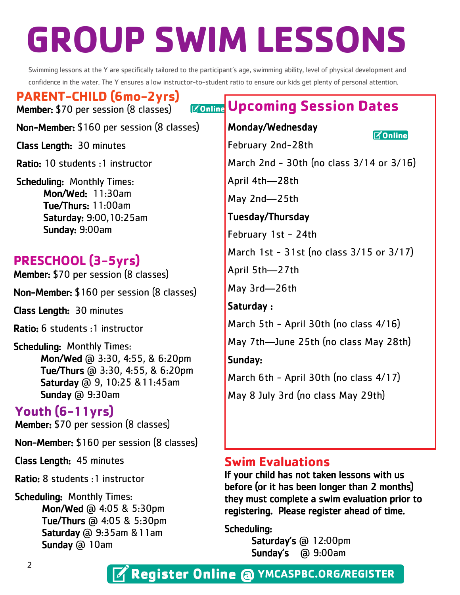## **GROUP SWIM LESSONS**

Swimming lessons at the Y are specifically tailored to the participant's age, swimming ability, level of physical development and confidence in the water. The Y ensures a low instructor-to-student ratio to ensure our kids get plenty of personal attention.

**PARENT-CHILD (6mo-2yrs)** Member: \$70 per session (8 classes)

Non-Member: \$160 per session (8 classes)

Class Length: 30 minutes

Ratio: 10 students :1 instructor

Scheduling: Monthly Times: Mon/Wed: 11:30am Tue/Thurs: 11:00am Saturday: 9:00,10:25am Sunday: 9:00am

#### **PRESCHOOL (3-5yrs)**

Member: \$70 per session (8 classes)

Non-Member: \$160 per session (8 classes)

Class Length: 30 minutes

Ratio: 6 students :1 instructor

Scheduling: Monthly Times: Mon/Wed @ 3:30, 4:55, & 6:20pm Tue/Thurs @ 3:30, 4:55, & 6:20pm Saturday @ 9, 10:25 &11:45am Sunday @ 9:30am

#### **Youth (6-11yrs)**

Member: \$70 per session (8 classes)

Non-Member: \$160 per session (8 classes)

Class Length: 45 minutes

Ratio: 8 students :1 instructor

Scheduling: Monthly Times: Mon/Wed @ 4:05 & 5:30pm Tue/Thurs @ 4:05 & 5:30pm Saturday @ 9:35am &11am Sunday @ 10am

### **Upcoming Session Dates**

Monday/Wednesday

**MOnline** 

February 2nd-28th March 2nd - 30th (no class 3/14 or 3/16) April 4th—28th May 2nd—25th Tuesday/Thursday

February 1st - 24th

March 1st - 31st (no class 3/15 or 3/17)

April 5th—27th

May 3rd—26th

Saturday : March 5th - April 30th (no class 4/16) May 7th—June 25th (no class May 28th) Sunday: March 6th - April 30th (no class 4/17)

May 8 July 3rd (no class May 29th)

#### **Swim Evaluations**

If your child has not taken lessons with us before (or it has been longer than 2 months) they must complete a swim evaluation prior to registering. Please register ahead of time.

Scheduling:

Saturday's @ 12:00pm Sunday's @ 9:00am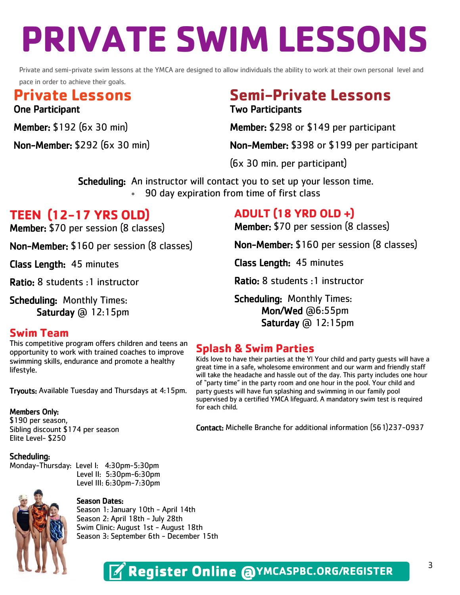# **PRIVATE SWIM LESSONS**

Private and semi-private swim lessons at the YMCA are designed to allow individuals the ability to work at their own personal level and pace in order to achieve their goals.

#### **Private Lessons Semi-Private Lessons** One Participant Two Participants

Member: \$192 (6x 30 min) Member: \$298 or \$149 per participant

Non-Member: \$292 (6x 30 min) Non-Member: \$398 or \$199 per participant

(6x 30 min. per participant)

Scheduling: An instructor will contact you to set up your lesson time.

90 day expiration from time of first class

#### **TEEN (12-17 YRS OLD)**

Member: \$70 per session (8 classes)

Non-Member: \$160 per session (8 classes)

Class Length: 45 minutes

Ratio: 8 students :1 instructor

Scheduling: Monthly Times: Saturday @ 12:15pm

#### **Swim Team**

This competitive program offers children and teens an opportunity to work with trained coaches to improve swimming skills, endurance and promote a healthy lifestyle.

Tryouts: Available Tuesday and Thursdays at 4:15pm.

#### Members Only:

\$190 per season, Sibling discount \$174 per season Elite Level- \$250

#### Scheduling:

Monday-Thursday: Level I: 4:30pm-5:30pm Level II: 5:30pm-6:30pm Level III: 6:30pm-7:30pm



#### Season Dates:

Season 1: January 10th - April 14th Season 2: April 18th - July 28th Swim Clinic: August 1st - August 18th Season 3: September 6th - December 15th

#### **ADULT (18 YRD OLD +)**

Member: \$70 per session (8 classes)

Non-Member: \$160 per session (8 classes)

Class Length: 45 minutes

Ratio: 8 students :1 instructor

Scheduling: Monthly Times: Mon/Wed @6:55pm Saturday @ 12:15pm

#### **Splash & Swim Parties**

Kids love to have their parties at the Y! Your child and party guests will have a great time in a safe, wholesome environment and our warm and friendly staff will take the headache and hassle out of the day. This party includes one hour of "party time" in the party room and one hour in the pool. Your child and party guests will have fun splashing and swimming in our family pool supervised by a certified YMCA lifeguard. A mandatory swim test is required for each child.

Contact: Michelle Branche for additional information (561)237-0937